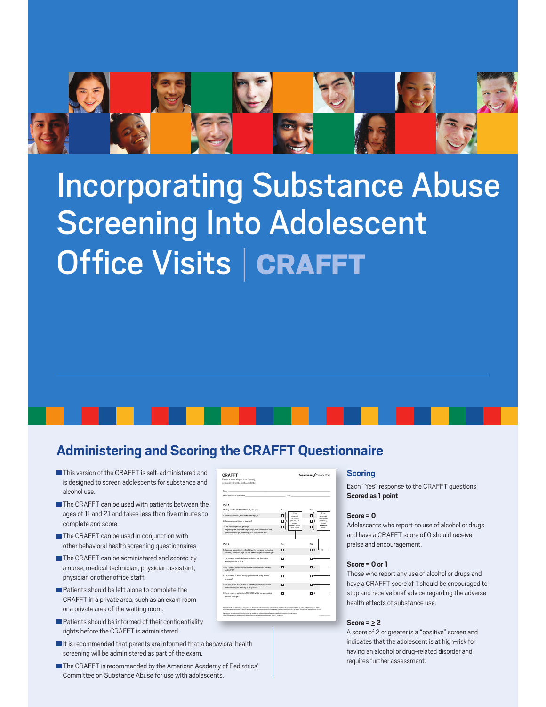

# **Incorporating Substance Abuse Screening Into Adolescent** Office Visits | CRAFFT

### **Administering and Scoring the CRAFFT Questionnaire**

- This version of the CRAFFT is self-administered and is designed to screen adolescents for substance and alcohol use
- The CRAFFT can be used with patients between the ages of 11 and 21 and takes less than five minutes to complete and score.
- The CRAFFT can be used in conjunction with other behavioral health screening questionnaires.
- The CRAFFT can be administered and scored by a nurse, medical technician, physician assistant, physician or other office staff.
- Patients should be left alone to complete the CRAFFT in a private area, such as an exam room or a private area of the waiting room.
- Patients should be informed of their confidentiality rights before the CRAFFT is administered.
- I It is recommended that parents are informed that a behavioral health screening will be administered as part of the exam.
- The CRAFFT is recommended by the American Academy of Pediatrics' Committee on Substance Abuse for use with adolescents.

| <b>CRAFFT</b><br>Please answer all questions honestly;<br>your answers will be kept confidential.                                                                                                                                                                                                                                                                                                                                                                                                                                                                                       |                                          | TeenScreen's Primary Care                |  |
|-----------------------------------------------------------------------------------------------------------------------------------------------------------------------------------------------------------------------------------------------------------------------------------------------------------------------------------------------------------------------------------------------------------------------------------------------------------------------------------------------------------------------------------------------------------------------------------------|------------------------------------------|------------------------------------------|--|
| Name.<br>Medical Record or ID Number                                                                                                                                                                                                                                                                                                                                                                                                                                                                                                                                                    | Date                                     |                                          |  |
| <b>Part A</b>                                                                                                                                                                                                                                                                                                                                                                                                                                                                                                                                                                           |                                          |                                          |  |
| During the PAST 12 MONTHS, did you:                                                                                                                                                                                                                                                                                                                                                                                                                                                                                                                                                     | Nn                                       | Yan                                      |  |
| 1. Drink any alcohol (more than a few sips)?                                                                                                                                                                                                                                                                                                                                                                                                                                                                                                                                            | If you<br>п<br>answered                  | If you<br>п<br>annexred                  |  |
| 2. Smoke any marituana or hashlab?                                                                                                                                                                                                                                                                                                                                                                                                                                                                                                                                                      | NO to ALL<br>п<br>(A1, A2, A3)<br>angeer | YES to ANY<br>(A1 to A3).<br>n<br>answer |  |
| 3. Use anything else to get high?<br>"anything else" includes illegal drugs, over the counter and<br>prescription drugs, and things that you sniff or "huff"                                                                                                                                                                                                                                                                                                                                                                                                                            | only \$1 below.<br>п<br>then STOP.       | 01 to DS<br>helme                        |  |
| <b>Part R</b>                                                                                                                                                                                                                                                                                                                                                                                                                                                                                                                                                                           |                                          |                                          |  |
|                                                                                                                                                                                                                                                                                                                                                                                                                                                                                                                                                                                         | No                                       | Yes.                                     |  |
| 1. Have you ever ridden in a CAR driven by apmecne (including<br>yourself) who was "high" or had been using alcohol or drugs?                                                                                                                                                                                                                                                                                                                                                                                                                                                           | п                                        |                                          |  |
| 2. Do you ever use alcohol or drugs to RELAX. feel better<br>about yourself, or fit in?                                                                                                                                                                                                                                                                                                                                                                                                                                                                                                 | п                                        |                                          |  |
| 3. Do you ever use alcohol or drugs while you are by yourself,<br>or ALC/ME2                                                                                                                                                                                                                                                                                                                                                                                                                                                                                                            | п                                        |                                          |  |
| 4. Do you ever FORGET things you did while using alcohol<br>or drugs?                                                                                                                                                                                                                                                                                                                                                                                                                                                                                                                   | п                                        |                                          |  |
| 5. Do your FAMILY or FRIENDS ever tell you that you should<br>cut down on your drinking or drug use?                                                                                                                                                                                                                                                                                                                                                                                                                                                                                    | п                                        |                                          |  |
| 6. Have you ever gotten into TROUBLE while you were using<br>alcohol or drugs?                                                                                                                                                                                                                                                                                                                                                                                                                                                                                                          | п                                        |                                          |  |
| CONFIDENTIALITY NOTICE. The information on this case may be contented by completed indentiality rates (42 CPR Part 2), which and data connect this<br>Information sciences/finated by specific written consent. A premutical batastics for release of medical information is NOT sufficient. C Children's Houseful Booker, 2009.<br>Reproduced with permission from the Center for Adobra and Substance Stone Research, CellSSR, Children's Hospital Boston.<br>CRUPPT Reproduction produced with support from the Massachusetts Einhanteed Health Partnership.<br><b>MARASTA CARDS</b> |                                          |                                          |  |
|                                                                                                                                                                                                                                                                                                                                                                                                                                                                                                                                                                                         |                                          |                                          |  |

#### **Scoring**

Each "Yes" response to the CRAFFT questions Scored as 1 point

#### $Score = 0$

Adolescents who report no use of alcohol or drugs and have a CRAFFT score of 0 should receive praise and encouragement.

#### Score =  $0$  or  $1$

Those who report any use of alcohol or drugs and have a CRAFFT score of 1 should be encouraged to stop and receive brief advice regarding the adverse health effects of substance use

#### Score =  $> 2$

A score of 2 or greater is a "positive" screen and indicates that the adolescent is at high-risk for having an alcohol or drug-related disorder and requires further assessment.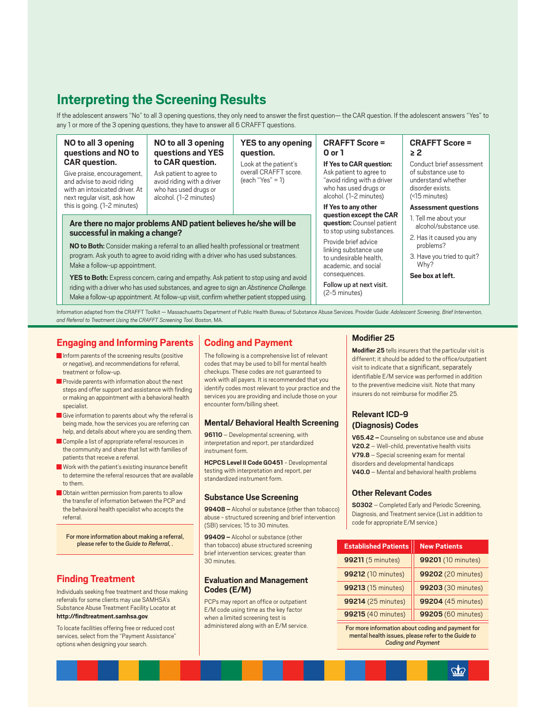## **Interpreting the Screening Results**

If the adolescent answers "No" to all 3 opening questions, they only need to answer the first question- the CAR question. If the adolescent answers "Yes" to any 1 or more of the 3 opening questions, they have to answer all 6 CRAFFT questions.

Look at the patient's

 $(each "Yes" = 1)$ 

overall CRAFFT score.

question.

#### NO to all 3 opening questions and NO to **CAR** question.

Give praise, encouragement, and advise to avoid riding with an intoxicated driver At next regular visit, ask how this is going. (1-2 minutes)

#### NO to all 3 opening questions and YES to CAR question.

Ask patient to agree to avoid riding with a driver who has used drugs or alcohol. (1-2 minutes)

# Are there no major problems AND patient believes he/she will be

NO to Both: Consider making a referral to an allied health professional or treatment program. Ask youth to agree to avoid riding with a driver who has used substances. Make a follow-up appointment.

YES to Both: Express concern, caring and empathy. Ask patient to stop using and avoid riding with a driver who has used substances, and agree to sign an Abstinence Challenge. Make a follow-up appointment. At follow-up visit, confirm whether patient stopped using.

#### **CRAFFT Score = YES to any opening**  $0<sub>or</sub>1$

If Yes to CAR question: Ask patient to agree to "avoid riding with a driver who has used drugs or alcohol. (1-2 minutes)

If Yes to any other question except the CAR question: Counsel patient to stop using substances.

Provide brief advice linking substance use to undesirable health. academic, and social consequences

Follow up at next visit.  $(2-5$  minutes)

#### **CRAFFT Score =**  $> 2$

Conduct brief assessment of substance use to understand whether disorder exists. (<15 minutes)

#### **Assessment questions**

- 1. Tell me about your alcohol/substance use.
- 2. Has it caused you any problems?
- 3. Have you tried to quit? Why?

See box at left.

Information adapted from the CRAFFT Toolkit - Massachusetts Department of Public Health Bureau of Substance Abuse Services. Provider Guide: Adolescent Screening, Brief Intervention, and Referral to Treatment Using the CRAFFT Screening Tool. Boston, MA.

#### **Engaging and Informing Parents**

successful in making a change?

- Inform parents of the screening results (positive or negative), and recommendations for referral. treatment or follow-up
- Provide parents with information about the next steps and offer support and assistance with finding or making an appointment with a behavioral health snecialist
- Give information to parents about why the referral is being made, how the services you are referring can help, and details about where you are sending them.
- Compile a list of appropriate referral resources in the community and share that list with families of patients that receive a referral
- Work with the patient's existing insurance benefit to determine the referral resources that are available to them
- Obtain written permission from parents to allow the transfer of information between the PCP and the behavioral health specialist who accepts the referral

For more information about making a referral, please refer to the Guide to Referral

#### **Finding Treatment**

Individuals seeking free treatment and those making referrals for some clients may use SAMHSA's Substance Abuse Treatment Facility Locator at http://findtreatment.samhsa.gov.

To locate facilities offering free or reduced cost services, select from the "Payment Assistance" options when designing your search.

#### **Coding and Payment**

The following is a comprehensive list of relevant codes that may be used to bill for mental health checkups. These codes are not guaranteed to work with all payers. It is recommended that you identify codes most relevant to your practice and the services you are providing and include those on your encounter form/billing sheet.

#### **Mental/ Behavioral Health Screening**

96110 - Developmental screening, with interpretation and report, per standardized instrument form

**HCPCS Level II Code G0451 - Developmental** testing with interpretation and report, per standardized instrument form.

#### **Substance Use Screening**

99408 - Alcohol or substance (other than tobacco) abuse - structured screening and brief intervention (SBI) services; 15 to 30 minutes.

99409 - Alcohol or substance (other than tobacco) abuse structured screening brief intervention services; greater than 30 minutes

#### **Evaluation and Management** Codes (E/M)

PCPs may report an office or outpatient E/M code using time as the key factor when a limited screening test is administered along with an E/M service.

#### Modifier 25

Modifier 25 tells insurers that the particular visit is different; it should be added to the office/outpatient visit to indicate that a significant, separately identifiable E/M service was performed in addition to the preventive medicine visit. Note that many insurers do not reimburse for modifier 25.

#### **Relevant ICD-9** (Diagnosis) Codes

V65.42 - Counseling on substance use and abuse V20.2 - Well-child, preventative health visits V79.8 - Special screening exam for mental disorders and developmental handicaps V40.0 - Mental and behavioral health problems

#### **Other Relevant Codes**

**S0302** - Completed Early and Periodic Screening, Diagnosis, and Treatment service (List in addition to code for appropriate E/M service.)

| <b>Established Patients</b> | <b>New Patients</b> |  |
|-----------------------------|---------------------|--|
| 99211 (5 minutes)           | 99201 (10 minutes)  |  |
| 99212 (10 minutes)          | 99202 (20 minutes)  |  |
| 99213 (15 minutes)          | 99203 (30 minutes)  |  |
| 99214 (25 minutes)          | 99204 (45 minutes)  |  |
| 99215 (40 minutes)          | 99205 (60 minutes)  |  |

For more information about coding and payment for mental health issues, please refer to the Guide to **Coding and Payment**